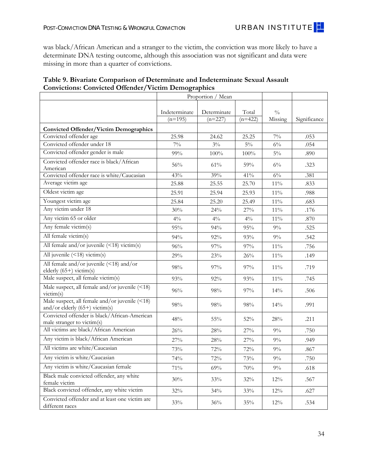In Table 8, we find several statistically significant case characteristics that were associated with whether post-conviction DNA testing results were determinate (or not). Crimes that were somewhat more recently committed (32 instead of 34 years ago), that were committed inside the victim's residence, and that involved conviction of a suspect who was a stranger to the victim were all associated with a higher likelihood of determinate DNA testing findings. Several other case attributes were not statistically significant, but were highly correlated with a determinate finding, including a crime committed in a private location, and with more victims. Notably, having an additional known suspect who was identified but not convicted was neither statistically nor substantively associated with the likelihood of determinate DNA testing outcomes.

|                                                                                |                            | Proportion / Mean        |                    |                          |                               |
|--------------------------------------------------------------------------------|----------------------------|--------------------------|--------------------|--------------------------|-------------------------------|
|                                                                                | Indeterminate<br>$(n=195)$ | Determinate<br>$(n=227)$ | Total<br>$(n=422)$ | $\frac{0}{0}$<br>missing | Significance of<br>Difference |
| <b>Case Characteristics</b>                                                    |                            |                          |                    |                          |                               |
| Murder is most serious offense                                                 | 13%                        | 10%                      | $11\%$             | $0\%$                    | .310                          |
| Rape is most serious offense                                                   | 87%                        | 90%                      | 89%                | $0\%$                    | .310                          |
| Firearm was involved in the crime (assumed<br>no unless mentioned)             | $7\%$                      | $6\%$                    | $6\%$              | $0\%$                    | .835                          |
| Length of case in months (time from offense<br>to conviction/sentencing)       | 7.66                       | 8.41                     | 8.06               | 23%                      | .446                          |
| Age of case in years (time from offense to Jan.<br>1, 2012                     | 33.75                      | 32.38                    | 33.01              | $0\%$                    | .000                          |
| Location of offense: Victim's<br>home/apartment                                | 32%                        | 49%                      | $41\%$             | 27%                      | .002                          |
| Location of offense: Indoors (inside<br>home/apartment/building)               | 57%                        | 63%                      | 60%                | 27%                      | .237                          |
| Location of offense: Vehicle (convicted<br>offender's or victim's)             | 24%                        | 20%                      | 22%                | 27%                      | .468                          |
| Location of offense: Private location (no<br>public access)                    | 63%                        | 71%                      | 67%                | 27%                      | .151                          |
| Convicted offender was stranger (not known<br>prior to day of crime)           | 83%                        | 92%                      | 88%                | 24%                      | .012                          |
| Convicted offender was relative or<br>(ex)intimate partner of victim(s)        | $6\%$                      | $3\%$                    | $4\%$              | 25%                      | .237                          |
| Number of suspects ever reported to forensic<br>lab (regardless of conviction) | 1.38                       | 1.47                     | 1.43               | $0\%$                    | .329                          |
| Number of suspects convicted for this crime                                    | 1.16                       | 1.20                     | 1.18               | $0\%$                    | .403                          |
| Percentage of known suspects who were not<br>convicted for this crime          | $7\%$                      | $8\%$                    | $8\%$              | $0\%$                    | .489                          |
| Number of victims                                                              | 1.05                       | 1.10                     | 1.08               | $0\%$                    | .149                          |

## **Table 8. Bivariate Comparison of Determinate and Indeterminate Sexual Assault Convictions: Case Characteristics**

With regard to demographics of the convicted offenders and victims involved, we found few differences between cases where a determinate finding could be made and cases where it could not (Table 9). The only significant difference in these convictions was that the convicted offender tended to be slightly older in convictions with indeterminate results. When the convicted offender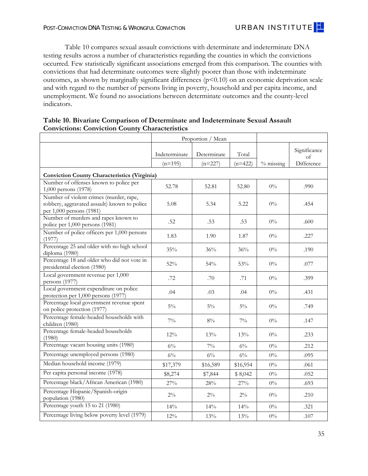was black/African American and a stranger to the victim, the conviction was more likely to have a determinate DNA testing outcome, although this association was not significant and data were missing in more than a quarter of convictions.

| Table 9. Bivariate Comparison of Determinate and Indeterminate Sexual Assault |
|-------------------------------------------------------------------------------|
| <b>Convictions: Convicted Offender/Victim Demographics</b>                    |

|                                                                                    |                            | Proportion / Mean        |                    |                          |              |
|------------------------------------------------------------------------------------|----------------------------|--------------------------|--------------------|--------------------------|--------------|
|                                                                                    | Indeterminate<br>$(n=195)$ | Determinate<br>$(n=227)$ | Total<br>$(n=422)$ | $\frac{0}{0}$<br>Missing | Significance |
| <b>Convicted Offender/Victim Demographics</b>                                      |                            |                          |                    |                          |              |
| Convicted offender age                                                             | 25.98                      | 24.62                    | 25.25              | $7\%$                    | .053         |
| Convicted offender under 18                                                        | $7\%$                      | $3\%$                    | $5\%$              | $6\%$                    | .054         |
| Convicted offender gender is male                                                  | 99%                        | 100%                     | 100%               | $5\%$                    | .890         |
| Convicted offender race is black/African<br>American                               | 56%                        | 61%                      | 59%                | $6\%$                    | .323         |
| Convicted offender race is white/Caucasian                                         | 43%                        | 39%                      | 41%                | $6\%$                    | .381         |
| Average victim age                                                                 | 25.88                      | 25.55                    | 25.70              | 11%                      | .833         |
| Oldest victim age                                                                  | 25.91                      | 25.94                    | 25.93              | $11\%$                   | .988         |
| Youngest victim age                                                                | 25.84                      | 25.20                    | 25.49              | $11\%$                   | .683         |
| Any victim under 18                                                                | 30%                        | 24%                      | 27%                | $11\%$                   | .176         |
| Any victim 65 or older                                                             | $4\%$                      | $4\%$                    | $4\%$              | $11\%$                   | .870         |
| Any female victim(s)                                                               | 95%                        | 94%                      | 95%                | $9\%$                    | .525         |
| All female victim(s)                                                               | 94%                        | 92%                      | 93%                | $9\%$                    | .542         |
| All female and/or juvenile $(\leq 18)$ victim(s)                                   | 96%                        | 97%                      | 97%                | 11%                      | .756         |
| All juvenile $(\leq 18)$ victim(s)                                                 | 29%                        | 23%                      | 26%                | $11\%$                   | .149         |
| All female and/or juvenile (<18) and/or<br>elderly $(65+)$ victim(s)               | 98%                        | 97%                      | 97%                | 11%                      | .719         |
| Male suspect, all female victim(s)                                                 | 93%                        | 92%                      | 93%                | $11\%$                   | .745         |
| Male suspect, all female and/or juvenile $($ 18)<br>victim(s)                      | 96%                        | 98%                      | 97%                | 14%                      | .506         |
| Male suspect, all female and/or juvenile (<18)<br>and/or elderly $(65+)$ victim(s) | 98%                        | 98%                      | 98%                | 14%                      | .991         |
| Convicted offender is black/African-American<br>male stranger to victim(s)         | 48%                        | 55%                      | 52%                | 28%                      | .211         |
| All victims are black/African American                                             | 26%                        | 28%                      | 27%                | $9\%$                    | .750         |
| Any victim is black/African American                                               | 27%                        | 28%                      | $27\%$             | $9\%$                    | .949         |
| All victims are white/Caucasian                                                    | 73%                        | 72%                      | 72%                | $9\%$                    | .867         |
| Any victim is white/Caucasian                                                      | 74%                        | 72%                      | 73%                | 9%                       | .750         |
| Any victim is white/Caucasian female                                               | 71%                        | 69%                      | $70\%$             | $9\%$                    | .618         |
| Black male convicted offender, any white<br>female victim                          | 30%                        | 33%                      | $32\%$             | 12%                      | .567         |
| Black convicted offender, any white victim                                         | 32%                        | 34%                      | 33%                | 12%                      | .627         |
| Convicted offender and at least one victim are<br>different races                  | 33%                        | 36%                      | $35\%$             | $12\%$                   | .534         |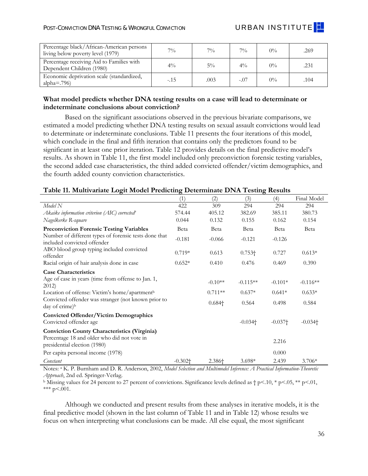Table 10 compares sexual assault convictions with determinate and indeterminate DNA testing results across a number of characteristics regarding the counties in which the convictions occurred. Few statistically significant associations emerged from this comparison. The counties with convictions that had determinate outcomes were slightly poorer than those with indeterminate outcomes, as shown by marginally significant differences  $(p<0.10)$  on an economic deprivation scale and with regard to the number of persons living in poverty, household and per capita income, and unemployment. We found no associations between determinate outcomes and the county-level indicators.

| Table 10. Bivariate Comparison of Determinate and Indeterminate Sexual Assault |
|--------------------------------------------------------------------------------|
| <b>Convictions: Conviction County Characteristics</b>                          |
|                                                                                |

|                                                                                                                     | Proportion / Mean |             |           |             |                    |
|---------------------------------------------------------------------------------------------------------------------|-------------------|-------------|-----------|-------------|--------------------|
|                                                                                                                     | Indeterminate     | Determinate | Total     |             | Significance<br>of |
|                                                                                                                     | $(n=195)$         | $(n=227)$   | $(n=422)$ | $%$ missing | Difference         |
| <b>Conviction County Characteristics (Virginia)</b>                                                                 |                   |             |           |             |                    |
| Number of offenses known to police per<br>1,000 persons (1978)                                                      | 52.78             | 52.81       | 52.80     | $0\%$       | .990               |
| Number of violent crimes (murder, rape,<br>robbery, aggravated assault) known to police<br>per 1,000 persons (1981) | 5.08              | 5.34        | 5.22      | $0\%$       | .454               |
| Number of murders and rapes known to<br>police per 1,000 persons (1981)                                             | .52               | .53         | .53       | $0\%$       | .600               |
| Number of police officers per 1,000 persons<br>(1977)                                                               | 1.83              | 1.90        | 1.87      | $0\%$       | .227               |
| Percentage 25 and older with no high school<br>diploma (1980)                                                       | 35%               | 36%         | 36%       | $0\%$       | .190               |
| Percentage 18 and older who did not vote in<br>presidential election (1980)                                         | 52%               | 54%         | 53%       | $0\%$       | .077               |
| Local government revenue per 1,000<br>persons (1977)                                                                | .72               | .70         | .71       | $0\%$       | .399               |
| Local government expenditure on police<br>protection per 1,000 persons (1977)                                       | .04               | .03         | .04       | $0\%$       | .431               |
| Percentage local government revenue spent<br>on police protection (1977)                                            | $5\%$             | $5\%$       | $5\%$     | $0\%$       | .749               |
| Percentage female-headed households with<br>children (1980)                                                         | $7\%$             | $8\%$       | $7\%$     | $0\%$       | .147               |
| Percentage female-headed households<br>(1980)                                                                       | 12%               | 13%         | 13%       | $0\%$       | .233               |
| Percentage vacant housing units (1980)                                                                              | $6\%$             | $7\%$       | $6\%$     | $0\%$       | .212               |
| Percentage unemployed persons (1980)                                                                                | $6\%$             | $6\%$       | $6\%$     | $0\%$       | .095               |
| Median household income (1979)                                                                                      | \$17,379          | \$16,589    | \$16,954  | $0\%$       | .061               |
| Per capita personal income (1978)                                                                                   | \$8,274           | \$7,844     | \$8,042   | $0\%$       | .052               |
| Percentage black/African American (1980)                                                                            | 27%               | 28%         | 27%       | $0\%$       | .693               |
| Percentage Hispanic/Spanish-origin<br>population (1980)                                                             | $2\%$             | $2\%$       | $2\%$     | $0\%$       | .210               |
| Percentage youth 15 to 21 (1980)                                                                                    | 14%               | 14%         | 14%       | $0\%$       | .321               |
| Percentage living below poverty level (1979)                                                                        | 12%               | 13%         | 13%       | $0\%$       | .107               |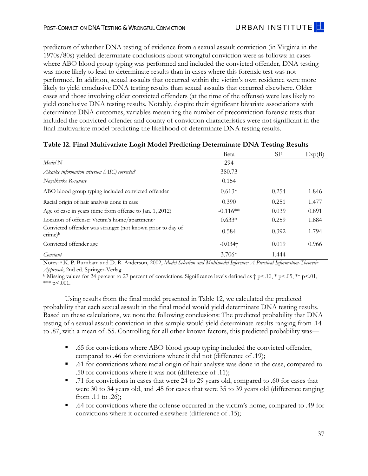| Percentage black/African-American persons<br>living below poverty level (1979) | $7\%$  | $7\%$ | 70/0           | $0\%$ | .269 |
|--------------------------------------------------------------------------------|--------|-------|----------------|-------|------|
| Percentage receiving Aid to Families with<br>Dependent Children (1980)         | $4\%$  | $5\%$ | $4\frac{0}{0}$ | $0\%$ | .231 |
| Economic deprivation scale (standardized,<br>alpha= $.796$ )                   | $-.15$ | .003  | $-.07$         | $0\%$ | .104 |

## **What model predicts whether DNA testing results on a case will lead to determinate or indeterminate conclusions about conviction?**

Based on the significant associations observed in the previous bivariate comparisons, we estimated a model predicting whether DNA testing results on sexual assault convictions would lead to determinate or indeterminate conclusions. Table 11 presents the four iterations of this model, which conclude in the final and fifth iteration that contains only the predictors found to be significant in at least one prior iteration. Table 12 provides details on the final predictive model's results. As shown in Table 11, the first model included only preconviction forensic testing variables, the second added case characteristics, the third added convicted offender/victim demographics, and the fourth added county conviction characteristics.

## **Table 11. Multivariate Logit Model Predicting Determinate DNA Testing Results**

|                                                                                                                                    | (1)        | (2)            | (3)                   | (4)       | Final Model           |
|------------------------------------------------------------------------------------------------------------------------------------|------------|----------------|-----------------------|-----------|-----------------------|
| Model N                                                                                                                            | 422        | 309            | 294                   | 294       | 294                   |
| Akaike information criterion (AIC) corrected <sup>u</sup>                                                                          | 574.44     | 405.12         | 382.69                | 385.11    | 380.73                |
| Nagelkerke R-square                                                                                                                | 0.044      | 0.132          | 0.155                 | 0.162     | 0.154                 |
| <b>Preconviction Forensic Testing Variables</b>                                                                                    | Beta       | Beta           | Beta                  | Beta      | Beta                  |
| Number of different types of forensic tests done that<br>included convicted offender                                               | $-0.181$   | $-0.066$       | $-0.121$              | $-0.126$  |                       |
| ABO blood group typing included convicted<br>offender                                                                              | $0.719*$   | 0.613          | $0.753\dagger$        | 0.727     | $0.613*$              |
| Racial origin of hair analysis done in case                                                                                        | $0.652*$   | 0.410          | 0.476                 | 0.469     | 0.390                 |
| <b>Case Characteristics</b>                                                                                                        |            |                |                       |           |                       |
| Age of case in years (time from offense to Jan. 1,<br>2012                                                                         |            | $-0.10**$      | $-0.115**$            | $-0.101*$ | $-0.116**$            |
| Location of offense: Victim's home/apartmentb                                                                                      |            | $0.711**$      | $0.637*$              | $0.641*$  | $0.633*$              |
| Convicted offender was stranger (not known prior to<br>day of crime) <sup>b</sup>                                                  |            | $0.684\dagger$ | 0.564                 | 0.498     | 0.584                 |
| <b>Convicted Offender/Victim Demographics</b><br>Convicted offender age                                                            |            |                | $-0.034$ <sup>+</sup> | $-0.037+$ | $-0.034$ <sup>+</sup> |
| <b>Conviction County Characteristics (Virginia)</b><br>Percentage 18 and older who did not vote in<br>presidential election (1980) |            |                |                       | 2.216     |                       |
| Per capita personal income (1978)                                                                                                  |            |                |                       | 0.000     |                       |
| Constant                                                                                                                           | $-0.302 +$ | 2.386+         | $3.698*$              | 2.439     | $3.706*$              |

 *Approach*, 2nd ed. Springer-Verlag. Notes: a K. P. Burnham and D. R. Anderson, 2002, *Model Selection and Multimodel Inference: A Practical Information-Theoretic* 

<sup>b</sup> Missing values for 24 percent to 27 percent of convictions. Significance levels defined as  $\uparrow$  p<.01, \* p<.05, \*\* p<.01, \*\*\*  $p < .001$ .

Although we conducted and present results from these analyses in iterative models, it is the final predictive model (shown in the last column of Table 11 and in Table 12) whose results we focus on when interpreting what conclusions can be made. All else equal, the most significant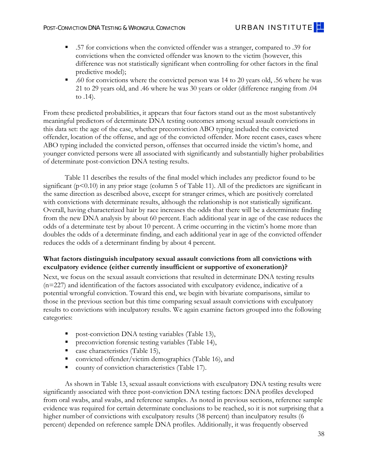predictors of whether DNA testing of evidence from a sexual assault conviction (in Virginia in the 1970s/80s) yielded determinate conclusions about wrongful conviction were as follows: in cases where ABO blood group typing was performed and included the convicted offender, DNA testing was more likely to lead to determinate results than in cases where this forensic test was not performed. In addition, sexual assaults that occurred within the victim's own residence were more likely to yield conclusive DNA testing results than sexual assaults that occurred elsewhere. Older cases and those involving older convicted offenders (at the time of the offense) were less likely to yield conclusive DNA testing results. Notably, despite their significant bivariate associations with determinate DNA outcomes, variables measuring the number of preconviction forensic tests that included the convicted offender and county of conviction characteristics were not significant in the final multivariate model predicting the likelihood of determinate DNA testing results.

|                                                                                           | Beta                  | SЕ    | Exp(B) |
|-------------------------------------------------------------------------------------------|-----------------------|-------|--------|
| Model N                                                                                   | 294                   |       |        |
| Akaike information criterion (AIC) corrected $\ell$                                       | 380.73                |       |        |
| Nagelkerke R-square                                                                       | 0.154                 |       |        |
| ABO blood group typing included convicted offender                                        | $0.613*$              | 0.254 | 1.846  |
| Racial origin of hair analysis done in case                                               | 0.390                 | 0.251 | 1.477  |
| Age of case in years (time from offense to Jan. 1, 2012)                                  | $-0.116**$            | 0.039 | 0.891  |
| Location of offense: Victim's home/apartment <sup>b</sup>                                 | $0.633*$              | 0.259 | 1.884  |
| Convicted offender was stranger (not known prior to day of<br>$\text{cTime}$ <sup>b</sup> | 0.584                 | 0.392 | 1.794  |
| Convicted offender age                                                                    | $-0.034$ <sup>+</sup> | 0.019 | 0.966  |
| Constant                                                                                  | $3.706*$              | 1.444 |        |

## **Table 12. Final Multivariate Logit Model Predicting Determinate DNA Testing Results**

Notes: a K. P. Burnham and D. R. Anderson, 2002, *Model Selection and Multimodel Inference: A Practical Information-Theoretic* 

*Approach*, 2nd ed. Springer-Verlag.<br><sup>b</sup> Missing values for 24 percent to 27 percent of convictions. Significance levels defined as † p<.10, \* p<.05, \*\* p<.01, \*\*\*  $p < .001$ .

Using results from the final model presented in Table 12, we calculated the predicted probability that each sexual assault in the final model would yield determinate DNA testing results. Based on these calculations, we note the following conclusions: The predicted probability that DNA testing of a sexual assault conviction in this sample would yield determinate results ranging from .14 to .87, with a mean of .55. Controlling for all other known factors, this predicted probability was—

- .65 for convictions where ABO blood group typing included the convicted offender, compared to .46 for convictions where it did not (difference of .19);
- .61 for convictions where racial origin of hair analysis was done in the case, compared to .50 for convictions where it was not (difference of .11);
- .71 for convictions in cases that were 24 to 29 years old, compared to .60 for cases that were 30 to 34 years old, and .45 for cases that were 35 to 39 years old (difference ranging from .11 to .26);
- .64 for convictions where the offense occurred in the victim's home, compared to .49 for convictions where it occurred elsewhere (difference of .15);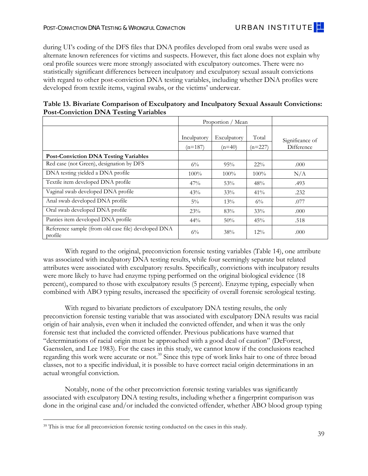- .57 for convictions when the convicted offender was a stranger, compared to .39 for convictions when the convicted offender was known to the victim (however, this difference was not statistically significant when controlling for other factors in the final predictive model);
- .60 for convictions where the convicted person was 14 to 20 years old, .56 where he was 21 to 29 years old, and .46 where he was 30 years or older (difference ranging from .04 to .14).

From these predicted probabilities, it appears that four factors stand out as the most substantively meaningful predictors of determinate DNA testing outcomes among sexual assault convictions in this data set: the age of the case, whether preconviction ABO typing included the convicted offender, location of the offense, and age of the convicted offender. More recent cases, cases where ABO typing included the convicted person, offenses that occurred inside the victim's home, and younger convicted persons were all associated with significantly and substantially higher probabilities of determinate post-conviction DNA testing results.

Table 11 describes the results of the final model which includes any predictor found to be significant  $(p<0.10)$  in any prior stage (column 5 of Table 11). All of the predictors are significant in the same direction as described above, except for stranger crimes, which are positively correlated with convictions with determinate results, although the relationship is not statistically significant. Overall, having characterized hair by race increases the odds that there will be a determinate finding from the new DNA analysis by about 60 percent. Each additional year in age of the case reduces the odds of a determinate test by about 10 percent. A crime occurring in the victim's home more than doubles the odds of a determinate finding, and each additional year in age of the convicted offender reduces the odds of a determinant finding by about 4 percent.

# **What factors distinguish inculpatory sexual assault convictions from all convictions with exculpatory evidence (either currently insufficient or supportive of exoneration)?**

Next, we focus on the sexual assault convictions that resulted in determinate DNA testing results (n=227) and identification of the factors associated with exculpatory evidence, indicative of a potential wrongful conviction. Toward this end, we begin with bivariate comparisons, similar to those in the previous section but this time comparing sexual assault convictions with exculpatory results to convictions with inculpatory results. We again examine factors grouped into the following categories:

- post-conviction DNA testing variables (Table 13),
- **Preconviction forensic testing variables (Table 14),**
- case characteristics (Table 15),
- convicted offender/victim demographics (Table 16), and
- county of conviction characteristics (Table 17).

As shown in Table 13, sexual assault convictions with exculpatory DNA testing results were significantly associated with three post-conviction DNA testing factors: DNA profiles developed from oral swabs, anal swabs, and reference samples. As noted in previous sections, reference sample evidence was required for certain determinate conclusions to be reached, so it is not surprising that a higher number of convictions with exculpatory results (38 percent) than inculpatory results (6 percent) depended on reference sample DNA profiles. Additionally, it was frequently observed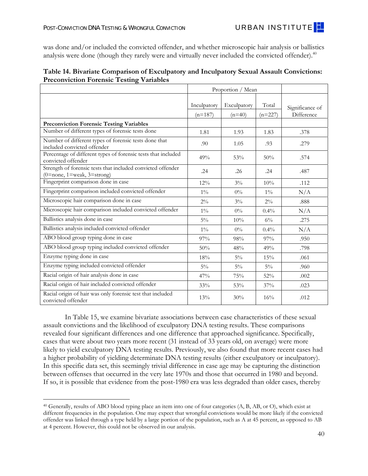during UI's coding of the DFS files that DNA profiles developed from oral swabs were used as alternate known references for victims and suspects. However, this fact alone does not explain why oral profile sources were more strongly associated with exculpatory outcomes. There were no statistically significant differences between inculpatory and exculpatory sexual assault convictions with regard to other post-conviction DNA testing variables, including whether DNA profiles were developed from textile items, vaginal swabs, or the victims' underwear.

| o                                                              |                          | Proportion / Mean       |                    |                               |
|----------------------------------------------------------------|--------------------------|-------------------------|--------------------|-------------------------------|
|                                                                | Inculpatory<br>$(n=187)$ | Exculpatory<br>$(n=40)$ | Total<br>$(n=227)$ | Significance of<br>Difference |
| <b>Post-Conviction DNA Testing Variables</b>                   |                          |                         |                    |                               |
| Red case (not Green), designation by DFS                       | $6\%$                    | 95%                     | $22\%$             | .000                          |
| DNA testing yielded a DNA profile                              | $100\%$                  | $100\%$                 | $100\%$            | N/A                           |
| Textile item developed DNA profile                             | 47%                      | 53%                     | 48%                | .493                          |
| Vaginal swab developed DNA profile                             | 43%                      | 33%                     | 41%                | .232                          |
| Anal swab developed DNA profile                                | $5\%$                    | 13%                     | $6\%$              | .077                          |
| Oral swab developed DNA profile                                | 23%                      | 83%                     | 33%                | .000                          |
| Panties item developed DNA profile                             | 44%                      | 50%                     | 45%                | .518                          |
| Reference sample (from old case file) developed DNA<br>profile | $6\%$                    | 38%                     | $12\%$             | .000                          |

|  |                                              | Table 13. Bivariate Comparison of Exculpatory and Inculpatory Sexual Assault Convictions: |  |  |  |
|--|----------------------------------------------|-------------------------------------------------------------------------------------------|--|--|--|
|  | <b>Post-Conviction DNA Testing Variables</b> |                                                                                           |  |  |  |

With regard to the original, preconviction forensic testing variables (Table 14), one attribute was associated with inculpatory DNA testing results, while four seemingly separate but related attributes were associated with exculpatory results. Specifically, convictions with inculpatory results were more likely to have had enzyme typing performed on the original biological evidence (18 percent), compared to those with exculpatory results (5 percent). Enzyme typing, especially when combined with ABO typing results, increased the specificity of overall forensic serological testing.

With regard to bivariate predictors of exculpatory DNA testing results, the only preconviction forensic testing variable that was associated with exculpatory DNA results was racial origin of hair analysis, even when it included the convicted offender, and when it was the only forensic test that included the convicted offender. Previous publications have warned that "determinations of racial origin must be approached with a good deal of caution" (DeForest, Gaensslen, and Lee 1983). For the cases in this study, we cannot know if the conclusions reached regarding this work were accurate or not.<sup>39</sup> Since this type of work links hair to one of three broad classes, not to a specific individual, it is possible to have correct racial origin determinations in an actual wrongful conviction.

Notably, none of the other preconviction forensic testing variables was significantly associated with exculpatory DNA testing results, including whether a fingerprint comparison was done in the original case and/or included the convicted offender, whether ABO blood group typing

 $\overline{a}$ <sup>39</sup> This is true for all preconviction forensic testing conducted on the cases in this study.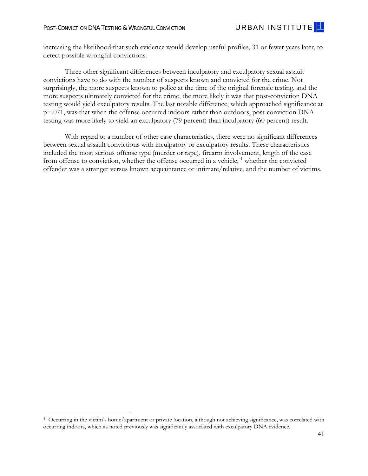was done and/or included the convicted offender, and whether microscopic hair analysis or ballistics analysis were done (though they rarely were and virtually never included the convicted offender).<sup>40</sup>

| Table 14. Bivariate Comparison of Exculpatory and Inculpatory Sexual Assault Convictions: |  |
|-------------------------------------------------------------------------------------------|--|
| <b>Preconviction Forensic Testing Variables</b>                                           |  |
|                                                                                           |  |

|                                                                                           |                          | Proportion / Mean       |                    |                               |
|-------------------------------------------------------------------------------------------|--------------------------|-------------------------|--------------------|-------------------------------|
|                                                                                           | Inculpatory<br>$(n=187)$ | Exculpatory<br>$(n=40)$ | Total<br>$(n=227)$ | Significance of<br>Difference |
| <b>Preconviction Forensic Testing Variables</b>                                           |                          |                         |                    |                               |
| Number of different types of forensic tests done                                          | 1.81                     | 1.93                    | 1.83               | .378                          |
| Number of different types of forensic tests done that<br>included convicted offender      | .90 <sub>o</sub>         | 1.05                    | .93                | .279                          |
| Percentage of different types of forensic tests that included<br>convicted offender       | 49%                      | 53%                     | 50%                | .574                          |
| Strength of forensic tests that included convicted offender<br>(0=none, 1=weak, 3=strong) | .24                      | .26                     | .24                | .487                          |
| Fingerprint comparison done in case                                                       | 12%                      | $3\%$                   | 10%                | .112                          |
| Fingerprint comparison included convicted offender                                        | $1\%$                    | $0\%$                   | $1\%$              | N/A                           |
| Microscopic hair comparison done in case                                                  | $2\%$                    | $3\%$                   | $2\%$              | .888                          |
| Microscopic hair comparison included convicted offender                                   | $1\%$                    | $0\%$                   | $0.4\%$            | N/A                           |
| Ballistics analysis done in case                                                          | $5\%$                    | 10%                     | $6\%$              | .275                          |
| Ballistics analysis included convicted offender                                           | $1\%$                    | $0\%$                   | $0.4\%$            | N/A                           |
| ABO blood group typing done in case                                                       | 97%                      | 98%                     | $97\%$             | .950                          |
| ABO blood group typing included convicted offender                                        | 50%                      | 48%                     | 49%                | .798                          |
| Enzyme typing done in case                                                                | 18%                      | $5\%$                   | 15%                | .061                          |
| Enzyme typing included convicted offender                                                 | $5\%$                    | $5\%$                   | $5\%$              | .960                          |
| Racial origin of hair analysis done in case                                               | 47%                      | 75%                     | 52%                | .002                          |
| Racial origin of hair included convicted offender                                         | 33%                      | 53%                     | 37%                | .023                          |
| Racial origin of hair was only forensic test that included<br>convicted offender          | 13%                      | 30%                     | 16%                | .012                          |

In Table 15, we examine bivariate associations between case characteristics of these sexual assault convictions and the likelihood of exculpatory DNA testing results. These comparisons revealed four significant differences and one difference that approached significance. Specifically, cases that were about two years more recent (31 instead of 33 years old, on average) were more likely to yield exculpatory DNA testing results. Previously, we also found that more recent cases had a higher probability of yielding determinate DNA testing results (either exculpatory or inculpatory). In this specific data set, this seemingly trivial difference in case age may be capturing the distinction between offenses that occurred in the very late 1970s and those that occurred in 1980 and beyond. If so, it is possible that evidence from the post-1980 era was less degraded than older cases, thereby

 $\overline{a}$ 40 Generally, results of ABO blood typing place an item into one of four categories (A, B, AB, or O), which exist at different frequencies in the population. One may expect that wrongful convictions would be more likely if the convicted offender was linked through a type held by a large portion of the population, such as A at 45 percent, as opposed to AB at 4 percent. However, this could not be observed in our analysis.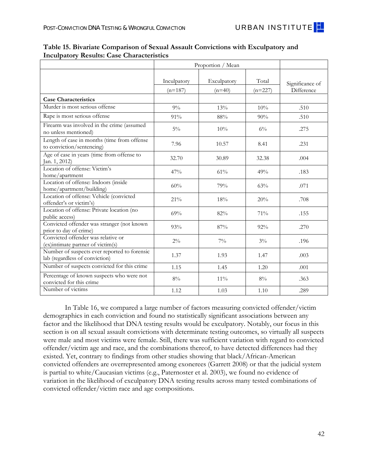increasing the likelihood that such evidence would develop useful profiles, 31 or fewer years later, to detect possible wrongful convictions.

Three other significant differences between inculpatory and exculpatory sexual assault convictions have to do with the number of suspects known and convicted for the crime. Not surprisingly, the more suspects known to police at the time of the original forensic testing, and the more suspects ultimately convicted for the crime, the more likely it was that post-conviction DNA testing would yield exculpatory results. The last notable difference, which approached significance at p=.071, was that when the offense occurred indoors rather than outdoors, post-conviction DNA testing was more likely to yield an exculpatory (79 percent) than inculpatory (60 percent) result.

With regard to a number of other case characteristics, there were no significant differences between sexual assault convictions with inculpatory or exculpatory results. These characteristics included the most serious offense type (murder or rape), firearm involvement, length of the case from offense to conviction, whether the offense occurred in a vehicle,<sup>41</sup> whether the convicted offender was a stranger versus known acquaintance or intimate/relative, and the number of victims.

-

<sup>41</sup> Occurring in the victim's home/apartment or private location, although not achieving significance, was correlated with occurring indoors, which as noted previously was significantly associated with exculpatory DNA evidence.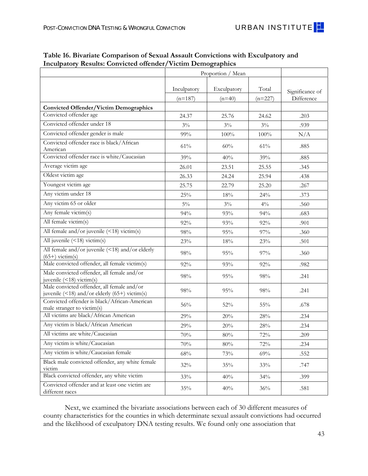

|                                                                                | Proportion / Mean        |                         |                    |                               |
|--------------------------------------------------------------------------------|--------------------------|-------------------------|--------------------|-------------------------------|
|                                                                                | Inculpatory<br>$(n=187)$ | Exculpatory<br>$(n=40)$ | Total<br>$(n=227)$ | Significance of<br>Difference |
| <b>Case Characteristics</b>                                                    |                          |                         |                    |                               |
| Murder is most serious offense                                                 | $9\%$                    | 13%                     | 10%                | .510                          |
| Rape is most serious offense                                                   | 91%                      | 88%                     | 90%                | .510                          |
| Firearm was involved in the crime (assumed<br>no unless mentioned)             | $5\%$                    | 10%                     | $6\%$              | .275                          |
| Length of case in months (time from offense<br>to conviction/sentencing)       | 7.96                     | 10.57                   | 8.41               | .231                          |
| Age of case in years (time from offense to<br>Jan. 1, 2012)                    | 32.70                    | 30.89                   | 32.38              | .004                          |
| Location of offense: Victim's<br>home/apartment                                | 47%                      | 61%                     | 49%                | .183                          |
| Location of offense: Indoors (inside<br>home/apartment/building)               | 60%                      | 79%                     | 63%                | .071                          |
| Location of offense: Vehicle (convicted<br>offender's or victim's)             | 21%                      | 18%                     | 20%                | .708                          |
| Location of offense: Private location (no<br>public access)                    | 69%                      | 82%                     | 71%                | .155                          |
| Convicted offender was stranger (not known<br>prior to day of crime)           | 93%                      | 87%                     | 92%                | .270                          |
| Convicted offender was relative or<br>(ex)intimate partner of victim(s)        | $2\%$                    | $7\%$                   | $3\%$              | .196                          |
| Number of suspects ever reported to forensic<br>lab (regardless of conviction) | 1.37                     | 1.93                    | 1.47               | .003                          |
| Number of suspects convicted for this crime                                    | 1.15                     | 1.45                    | 1.20               | .001                          |
| Percentage of known suspects who were not<br>convicted for this crime          | $8\%$                    | $11\%$                  | 8%                 | .363                          |
| Number of victims                                                              | 1.12                     | 1.03                    | 1.10               | .289                          |

**Table 15. Bivariate Comparison of Sexual Assault Convictions with Exculpatory and Inculpatory Results: Case Characteristics** 

In Table 16, we compared a large number of factors measuring convicted offender/victim demographics in each conviction and found no statistically significant associations between any factor and the likelihood that DNA testing results would be exculpatory. Notably, our focus in this section is on all sexual assault convictions with determinate testing outcomes, so virtually all suspects were male and most victims were female. Still, there was sufficient variation with regard to convicted offender/victim age and race, and the combinations thereof, to have detected differences had they existed. Yet, contrary to findings from other studies showing that black/African-American convicted offenders are overrepresented among exonerees (Garrett 2008) or that the judicial system is partial to white/Caucasian victims (e.g., Paternoster et al. 2003), we found no evidence of variation in the likelihood of exculpatory DNA testing results across many tested combinations of convicted offender/victim race and age compositions.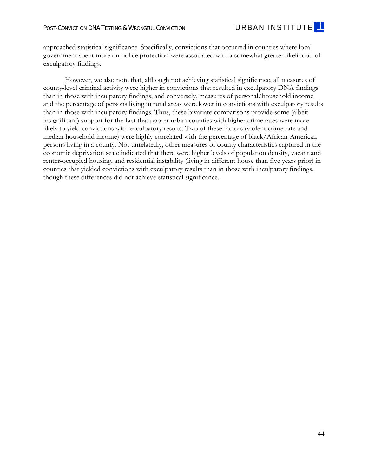|                                                                                                   |                          | Proportion / Mean       |                    |                               |  |
|---------------------------------------------------------------------------------------------------|--------------------------|-------------------------|--------------------|-------------------------------|--|
|                                                                                                   | Inculpatory<br>$(n=187)$ | Exculpatory<br>$(n=40)$ | Total<br>$(n=227)$ | Significance of<br>Difference |  |
|                                                                                                   |                          |                         |                    |                               |  |
| <b>Convicted Offender/Victim Demographics</b><br>Convicted offender age                           | 24.37                    | 25.76                   | 24.62              | .203                          |  |
| Convicted offender under 18                                                                       | $3\%$                    | $3\%$                   | $3\%$              | .939                          |  |
| Convicted offender gender is male                                                                 | $99\%$                   | 100%                    | 100%               | N/A                           |  |
| Convicted offender race is black/African<br>American                                              | $61\%$                   | 60%                     | 61%                | .885                          |  |
| Convicted offender race is white/Caucasian                                                        | 39%                      | 40%                     | 39%                | .885                          |  |
| Average victim age                                                                                | 26.01                    | 23.51                   | 25.55              | .345                          |  |
| Oldest victim age                                                                                 | 26.33                    | 24.24                   | 25.94              | .438                          |  |
| Youngest victim age                                                                               | 25.75                    | 22.79                   | 25.20              | .267                          |  |
| Any victim under 18                                                                               | 25%                      | 18%                     | 24%                | .373                          |  |
| Any victim 65 or older                                                                            | $5\%$                    | $3\%$                   | $4\%$              | .560                          |  |
| Any female victim(s)                                                                              | 94%                      | 93%                     | 94%                | .683                          |  |
| All female victim(s)                                                                              | 92%                      | 93%                     | 92%                | .901                          |  |
| All female and/or juvenile (<18) victim(s)                                                        | 98%                      | 95%                     | 97%                | .360                          |  |
| All juvenile $(\leq 18)$ victim $(s)$                                                             | 23%                      | 18%                     | 23%                | .501                          |  |
| All female and/or juvenile (<18) and/or elderly<br>$(65+)$ victim(s)                              | 98%                      | 95%                     | 97%                | .360                          |  |
| Male convicted offender, all female victim(s)                                                     | 92%                      | 93%                     | 92%                | .982                          |  |
| Male convicted offender, all female and/or<br>juvenile $($ < 18) victim $(s)$                     | 98%                      | 95%                     | 98%                | .241                          |  |
| Male convicted offender, all female and/or<br>juvenile $($ < 18) and/or elderly $(65+)$ victim(s) | $98\%$                   | 95%                     | 98%                | .241                          |  |
| Convicted offender is black/African-American<br>male stranger to victim(s)                        | $56\%$                   | 52%                     | $55\%$             | .678                          |  |
| All victims are black/African American                                                            | 29%                      | 20%                     | 28%                | .234                          |  |
| Any victim is black/African American                                                              | 29%                      | 20%                     | 28%                | .234                          |  |
| All victims are white/Caucasian                                                                   | 70%                      | $80\%$                  | 72%                | .209                          |  |
| Any victim is white/Caucasian                                                                     | 70%                      | 80%                     | 72%                | .234                          |  |
| Any victim is white/Caucasian female                                                              | 68%                      | 73%                     | 69%                | .552                          |  |
| Black male convicted offender, any white female<br>victim                                         | $32\%$                   | 35%                     | 33%                | .747                          |  |
| Black convicted offender, any white victim                                                        | 33%                      | 40%                     | 34%                | .399                          |  |
| Convicted offender and at least one victim are<br>different races                                 | 35%                      | 40%                     | 36%                | .581                          |  |

## **Table 16. Bivariate Comparison of Sexual Assault Convictions with Exculpatory and Inculpatory Results: Convicted offender/Victim Demographics**

Next, we examined the bivariate associations between each of 30 different measures of county characteristics for the counties in which determinate sexual assault convictions had occurred and the likelihood of exculpatory DNA testing results. We found only one association that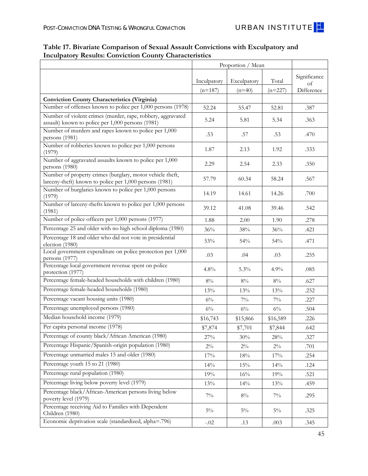approached statistical significance. Specifically, convictions that occurred in counties where local government spent more on police protection were associated with a somewhat greater likelihood of exculpatory findings.

However, we also note that, although not achieving statistical significance, all measures of county-level criminal activity were higher in convictions that resulted in exculpatory DNA findings than in those with inculpatory findings; and conversely, measures of personal/household income and the percentage of persons living in rural areas were lower in convictions with exculpatory results than in those with inculpatory findings. Thus, these bivariate comparisons provide some (albeit insignificant) support for the fact that poorer urban counties with higher crime rates were more likely to yield convictions with exculpatory results. Two of these factors (violent crime rate and median household income) were highly correlated with the percentage of black/African-American persons living in a county. Not unrelatedly, other measures of county characteristics captured in the economic deprivation scale indicated that there were higher levels of population density, vacant and renter-occupied housing, and residential instability (living in different house than five years prior) in counties that yielded convictions with exculpatory results than in those with inculpatory findings, though these differences did not achieve statistical significance.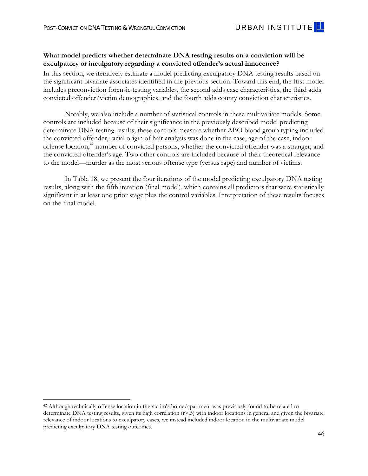

|                                                                                                                      | Proportion / Mean |             |           |                    |
|----------------------------------------------------------------------------------------------------------------------|-------------------|-------------|-----------|--------------------|
|                                                                                                                      | Inculpatory       | Exculpatory | Total     | Significance<br>of |
|                                                                                                                      | $(n=187)$         | $(n=40)$    | $(n=227)$ | Difference         |
| <b>Conviction County Characteristics (Virginia)</b>                                                                  |                   |             |           |                    |
| Number of offenses known to police per 1,000 persons (1978)                                                          | 52.24             | 55.47       | 52.81     | .387               |
| Number of violent crimes (murder, rape, robbery, aggravated<br>assault) known to police per 1,000 persons (1981)     | 5.24              | 5.81        | 5.34      | .363               |
| Number of murders and rapes known to police per 1,000<br>persons (1981)                                              | .53               | .57         | .53       | .470               |
| Number of robberies known to police per 1,000 persons<br>(1979)                                                      | 1.87              | 2.13        | 1.92      | .333               |
| Number of aggravated assaults known to police per 1,000<br>persons (1980)                                            | 2.29              | 2.54        | 2.33      | .350               |
| Number of property crimes (burglary, motor vehicle theft,<br>larceny-theft) known to police per 1,000 persons (1981) | 57.79             | 60.34       | 58.24     | .567               |
| Number of burglaries known to police per 1,000 persons<br>(1979)                                                     | 14.19             | 14.61       | 14.26     | .700               |
| Number of larceny-thefts known to police per 1,000 persons<br>(1981)                                                 | 39.12             | 41.08       | 39.46     | .542               |
| Number of police officers per 1,000 persons (1977)                                                                   | 1.88              | 2.00        | 1.90      | .278               |
| Percentage 25 and older with no high school diploma (1980)                                                           | 36%               | $38\%$      | 36%       | .421               |
| Percentage 18 and older who did not vote in presidential<br>election (1980)                                          | 53%               | 54%         | 54%       | .471               |
| Local government expenditure on police protection per 1,000<br>persons (1977)                                        | .03               | .04         | .03       | .255               |
| Percentage local government revenue spent on police<br>protection (1977)                                             | 4.8%              | 5.3%        | 4.9%      | .085               |
| Percentage female-headed households with children (1980)                                                             | $8\%$             | $8\%$       | $8\%$     | .627               |
| Percentage female-headed households (1980)                                                                           | 13%               | 13%         | 13%       | .252               |
| Percentage vacant housing units (1980)                                                                               | $6\%$             | $7\%$       | $7\%$     | .227               |
| Percentage unemployed persons (1980)                                                                                 | $6\%$             | $6\%$       | $6\%$     | .504               |
| Median household income (1979)                                                                                       | \$16,743          | \$15,866    | \$16,589  | .226               |
| Per capita personal income (1978)                                                                                    | \$7,874           | \$7,701     | \$7,844   | .642               |
| Percentage of county black/African American (1980)                                                                   | 27%               | 30%         | 28%       | .327               |
| Percentage Hispanic/Spanish-origin population (1980)                                                                 | $2\%$             | $2\%$       | $2\%$     | .701               |
| Percentage unmarried males 15 and older (1980)                                                                       | 17%               | 18%         | 17%       | .254               |
| Percentage youth 15 to 21 (1980)                                                                                     | 14%               | 15%         | 14%       | .124               |
| Percentage rural population (1980)                                                                                   | 19%               | 16%         | 19%       | .521               |
| Percentage living below poverty level (1979)                                                                         | 13%               | 14%         | 13%       | .459               |
| Percentage black/African-American persons living below<br>poverty level (1979)                                       | $7\%$             | $8\%$       | $7\%$     | .295               |
| Percentage receiving Aid to Families with Dependent<br>Children (1980)                                               | $5\%$             | $5\%$       | $5\%$     | .325               |
| Economic deprivation scale (standardized, alpha=.796)                                                                | $-.02$            | .13         | .003      | .345               |

# **Table 17. Bivariate Comparison of Sexual Assault Convictions with Exculpatory and Inculpatory Results: Conviction County Characteristics**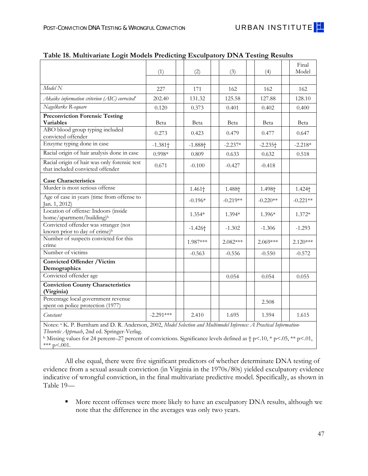#### **What model predicts whether determinate DNA testing results on a conviction will be exculpatory or inculpatory regarding a convicted offender's actual innocence?**

In this section, we iteratively estimate a model predicting exculpatory DNA testing results based on the significant bivariate associates identified in the previous section. Toward this end, the first model includes preconviction forensic testing variables, the second adds case characteristics, the third adds convicted offender/victim demographics, and the fourth adds county conviction characteristics.

Notably, we also include a number of statistical controls in these multivariate models. Some controls are included because of their significance in the previously described model predicting determinate DNA testing results; these controls measure whether ABO blood group typing included the convicted offender, racial origin of hair analysis was done in the case, age of the case, indoor offense location,<sup>42</sup> number of convicted persons, whether the convicted offender was a stranger, and the convicted offender's age. Two other controls are included because of their theoretical relevance to the model—murder as the most serious offense type (versus rape) and number of victims.

In Table 18, we present the four iterations of the model predicting exculpatory DNA testing results, along with the fifth iteration (final model), which contains all predictors that were statistically significant in at least one prior stage plus the control variables. Interpretation of these results focuses on the final model.

-

<sup>42</sup> Although technically offense location in the victim's home/apartment was previously found to be related to determinate DNA testing results, given its high correlation (r>.5) with indoor locations in general and given the bivariate relevance of indoor locations to exculpatory cases, we instead included indoor location in the multivariate model predicting exculpatory DNA testing outcomes.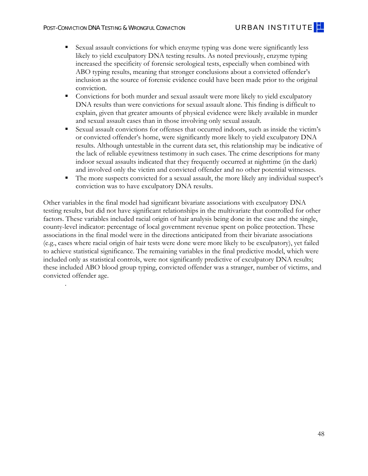|                                                                                                                                                                                    | (1)         | (2)                | (3)                | (4)                   | Final<br>Model     |
|------------------------------------------------------------------------------------------------------------------------------------------------------------------------------------|-------------|--------------------|--------------------|-----------------------|--------------------|
|                                                                                                                                                                                    |             |                    |                    |                       |                    |
| Model N                                                                                                                                                                            | 227         | 171                | 162                | 162                   | 162                |
| Akaike information criterion (AIC) corrected $^n$                                                                                                                                  | 202.40      | 131.32             | 125.58             | 127.88                | 128.10             |
| Nagelkerke R-square                                                                                                                                                                | 0.120       | 0.373              | 0.401              | 0.402                 | 0.400              |
| <b>Preconviction Forensic Testing</b>                                                                                                                                              |             |                    |                    |                       |                    |
| <b>Variables</b>                                                                                                                                                                   | Beta        | Beta               | Beta               | Beta                  | Beta               |
| ABO blood group typing included<br>convicted offender                                                                                                                              | 0.273       | 0.423              | 0.479              | 0.477                 | 0.647              |
| Enzyme typing done in case                                                                                                                                                         | $-1.381 +$  | $-1.888 +$         | $-2.237*$          | $-2.235$ <sup>+</sup> | $-2.218*$          |
| Racial origin of hair analysis done in case                                                                                                                                        | $0.998*$    | 0.809              | 0.633              | 0.632                 | 0.518              |
| Racial origin of hair was only forensic test<br>that included convicted offender                                                                                                   | 0.671       | $-0.100$           | $-0.427$           | $-0.418$              |                    |
| <b>Case Characteristics</b>                                                                                                                                                        |             |                    |                    |                       |                    |
| Murder is most serious offense                                                                                                                                                     |             | 1.461 <sup>+</sup> | 1.488 <sup>+</sup> | 1.498 <sup>+</sup>    | 1.424 <sup>+</sup> |
| Age of case in years (time from offense to<br>Jan. 1, 2012)                                                                                                                        |             | $-0.196*$          | $-0.219**$         | $-0.220**$            | $-0.221**$         |
| Location of offense: Indoors (inside<br>home/apartment/building) <sup>b</sup>                                                                                                      |             | $1.354*$           | $1.394*$           | 1.396*                | $1.372*$           |
| Convicted offender was stranger (not<br>known prior to day of crime) <sup>b</sup>                                                                                                  |             | $-1.426 +$         | $-1.302$           | $-1.306$              | $-1.293$           |
| Number of suspects convicted for this<br>crime                                                                                                                                     |             | 1.987***           | $2.082***$         | $2.069***$            | $2.120***$         |
| Number of victims                                                                                                                                                                  |             | $-0.563$           | $-0.556$           | $-0.550$              | $-0.572$           |
| <b>Convicted Offender /Victim</b><br>Demographics                                                                                                                                  |             |                    |                    |                       |                    |
| Convicted offender age                                                                                                                                                             |             |                    | 0.054              | 0.054                 | 0.055              |
| <b>Conviction County Characteristics</b><br>(Virginia)                                                                                                                             |             |                    |                    |                       |                    |
| Percentage local government revenue<br>spent on police protection (1977)                                                                                                           |             |                    |                    | 2.508                 |                    |
| Constant                                                                                                                                                                           | $-2.291***$ | 2.410              | 1.695              | 1.594                 | 1.615              |
| Notes: <sup>a</sup> K. P. Burnham and D. R. Anderson, 2002, Model Selection and Multimodel Inference: A Practical Information-<br><i>Theoretic Approach</i> 2nd ed Springer-Verlag |             |                    |                    |                       |                    |

| Table 18. Multivariate Logit Models Predicting Exculpatory DNA Testing Results |  |  |
|--------------------------------------------------------------------------------|--|--|
|                                                                                |  |  |

*Theoretic Approach*, 2nd ed. Springer-Verlag.<br><sup>b</sup> Missing values for 24 percent–27 percent of convictions. Significance levels defined as † p<.10, \* p<.05, \*\* p<.01, \*\*\*  $p < .001$ .

All else equal, there were five significant predictors of whether determinate DNA testing of evidence from a sexual assault conviction (in Virginia in the 1970s/80s) yielded exculpatory evidence indicative of wrongful conviction, in the final multivariate predictive model. Specifically, as shown in Table 19—

More recent offenses were more likely to have an exculpatory DNA results, although we note that the difference in the averages was only two years.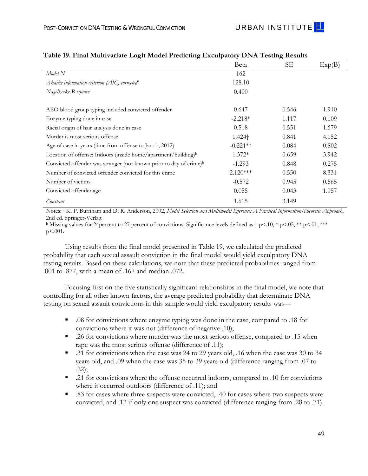.

- Sexual assault convictions for which enzyme typing was done were significantly less likely to yield exculpatory DNA testing results. As noted previously, enzyme typing increased the specificity of forensic serological tests, especially when combined with ABO typing results, meaning that stronger conclusions about a convicted offender's inclusion as the source of forensic evidence could have been made prior to the original conviction.
- Convictions for both murder and sexual assault were more likely to yield exculpatory DNA results than were convictions for sexual assault alone. This finding is difficult to explain, given that greater amounts of physical evidence were likely available in murder and sexual assault cases than in those involving only sexual assault.
- Sexual assault convictions for offenses that occurred indoors, such as inside the victim's or convicted offender's home, were significantly more likely to yield exculpatory DNA results. Although untestable in the current data set, this relationship may be indicative of the lack of reliable eyewitness testimony in such cases. The crime descriptions for many indoor sexual assaults indicated that they frequently occurred at nighttime (in the dark) and involved only the victim and convicted offender and no other potential witnesses.
- The more suspects convicted for a sexual assault, the more likely any individual suspect's conviction was to have exculpatory DNA results.

Other variables in the final model had significant bivariate associations with exculpatory DNA testing results, but did not have significant relationships in the multivariate that controlled for other factors. These variables included racial origin of hair analysis being done in the case and the single, county-level indicator: percentage of local government revenue spent on police protection. These associations in the final model were in the directions anticipated from their bivariate associations (e.g., cases where racial origin of hair tests were done were more likely to be exculpatory), yet failed to achieve statistical significance. The remaining variables in the final predictive model, which were included only as statistical controls, were not significantly predictive of exculpatory DNA results; these included ABO blood group typing, convicted offender was a stranger, number of victims, and convicted offender age.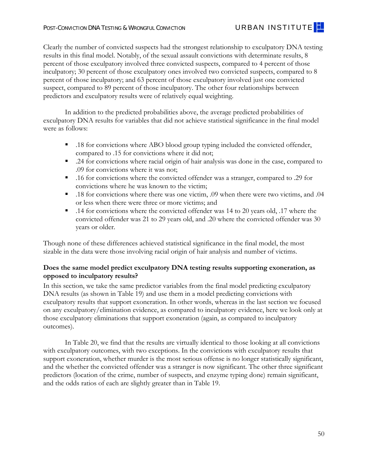|                                                                                | Beta               | SЕ    | Exp(B) |
|--------------------------------------------------------------------------------|--------------------|-------|--------|
| Model N                                                                        | 162                |       |        |
| Akaike information criterion (AIC) corrected <sup>"</sup>                      | 128.10             |       |        |
| Nagelkerke R-square                                                            | 0.400              |       |        |
| ABO blood group typing included convicted offender                             | 0.647              | 0.546 | 1.910  |
| Enzyme typing done in case                                                     | $-2.218*$          | 1.117 | 0.109  |
| Racial origin of hair analysis done in case                                    | 0.518              | 0.551 | 1.679  |
| Murder is most serious offense                                                 | 1.424 <sup>+</sup> | 0.841 | 4.152  |
| Age of case in years (time from offense to Jan. 1, 2012)                       | $-0.221**$         | 0.084 | 0.802  |
| Location of offense: Indoors (inside home/apartment/building) <sup>b</sup>     | $1.372*$           | 0.659 | 3.942  |
| Convicted offender was stranger (not known prior to day of crime) <sup>b</sup> | $-1.293$           | 0.848 | 0.275  |
| Number of convicted offender convicted for this crime                          | $2.120***$         | 0.550 | 8.331  |
| Number of victims                                                              | $-0.572$           | 0.945 | 0.565  |
| Convicted offender age                                                         | 0.055              | 0.043 | 1.057  |
| Constant                                                                       | 1.615              | 3.149 |        |

#### **Table 19. Final Multivariate Logit Model Predicting Exculpatory DNA Testing Results**

 Notes: a K. P. Burnham and D. R. Anderson, 2002, *Model Selection and Multimodel Inference: A Practical Information-Theoretic Approach*, 2nd ed. Springer-Verlag.

<sup>b</sup> Missing values for 24percent to 27 percent of convictions. Significance levels defined as  $\dagger$  p<.10, \* p<.05, \*\* p<.01, \*\*\* p<.001.

Using results from the final model presented in Table 19, we calculated the predicted probability that each sexual assault conviction in the final model would yield exculpatory DNA testing results. Based on these calculations, we note that these predicted probabilities ranged from .001 to .877, with a mean of .167 and median .072.

Focusing first on the five statistically significant relationships in the final model, we note that controlling for all other known factors, the average predicted probability that determinate DNA testing on sexual assault convictions in this sample would yield exculpatory results was—

- .08 for convictions where enzyme typing was done in the case, compared to .18 for convictions where it was not (difference of negative .10);
- .26 for convictions where murder was the most serious offense, compared to .15 when rape was the most serious offense (difference of .11);
- .31 for convictions when the case was 24 to 29 years old, .16 when the case was 30 to 34 years old, and .09 when the case was 35 to 39 years old (difference ranging from .07 to .22);
- .21 for convictions where the offense occurred indoors, compared to .10 for convictions where it occurred outdoors (difference of .11); and
- convicted, and .12 if only one suspect was convicted (difference ranging from .28 to .71). 49 ■ .83 for cases where three suspects were convicted, .40 for cases where two suspects were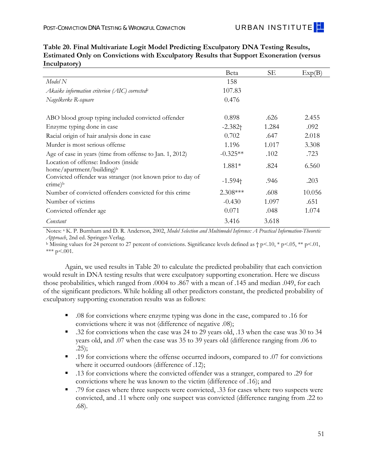Clearly the number of convicted suspects had the strongest relationship to exculpatory DNA testing results in this final model. Notably, of the sexual assault convictions with determinate results, 8 percent of those exculpatory involved three convicted suspects, compared to 4 percent of those inculpatory; 30 percent of those exculpatory ones involved two convicted suspects, compared to 8 percent of those inculpatory; and 63 percent of those exculpatory involved just one convicted suspect, compared to 89 percent of those inculpatory. The other four relationships between predictors and exculpatory results were of relatively equal weighting.

In addition to the predicted probabilities above, the average predicted probabilities of exculpatory DNA results for variables that did not achieve statistical significance in the final model were as follows:

- .18 for convictions where ABO blood group typing included the convicted offender, compared to .15 for convictions where it did not;
- .24 for convictions where racial origin of hair analysis was done in the case, compared to .09 for convictions where it was not;
- .16 for convictions where the convicted offender was a stranger, compared to .29 for convictions where he was known to the victim;
- .18 for convictions where there was one victim, .09 when there were two victims, and .04 or less when there were three or more victims; and
- .14 for convictions where the convicted offender was 14 to 20 years old, .17 where the convicted offender was 21 to 29 years old, and .20 where the convicted offender was 30 years or older.

Though none of these differences achieved statistical significance in the final model, the most sizable in the data were those involving racial origin of hair analysis and number of victims.

# **Does the same model predict exculpatory DNA testing results supporting exoneration, as opposed to inculpatory results?**

In this section, we take the same predictor variables from the final model predicting exculpatory DNA results (as shown in Table 19) and use them in a model predicting convictions with exculpatory results that support exoneration. In other words, whereas in the last section we focused on any exculpatory/elimination evidence, as compared to inculpatory evidence, here we look only at those exculpatory eliminations that support exoneration (again, as compared to inculpatory outcomes).

In Table 20, we find that the results are virtually identical to those looking at all convictions with exculpatory outcomes, with two exceptions. In the convictions with exculpatory results that support exoneration, whether murder is the most serious offense is no longer statistically significant, and the whether the convicted offender was a stranger is now significant. The other three significant predictors (location of the crime, number of suspects, and enzyme typing done) remain significant, and the odds ratios of each are slightly greater than in Table 19.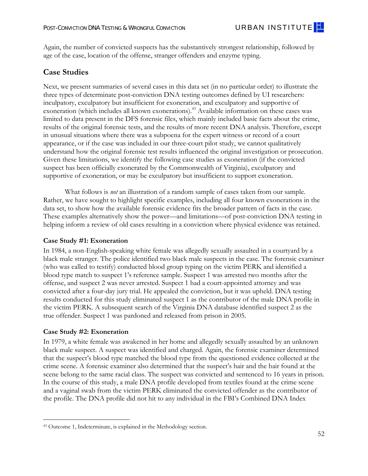|                                                                                  | Beta                  | SE.   | Exp(B) |
|----------------------------------------------------------------------------------|-----------------------|-------|--------|
| Model N                                                                          | 158                   |       |        |
| Akaike information criterion (AIC) corrected <sup>a</sup>                        | 107.83                |       |        |
| Nagelkerke R-square                                                              | 0.476                 |       |        |
| ABO blood group typing included convicted offender                               | 0.898                 | .626  | 2.455  |
| Enzyme typing done in case                                                       | $-2.382 +$            | 1.284 | .092   |
| Racial origin of hair analysis done in case                                      | 0.702                 | .647  | 2.018  |
| Murder is most serious offense                                                   | 1.196                 | 1.017 | 3.308  |
| Age of case in years (time from offense to Jan. 1, 2012)                         | $-0.325**$            | .102  | .723   |
| Location of offense: Indoors (inside<br>home/apartment/building) <sup>b</sup>    | 1.881*                | .824  | 6.560  |
| Convicted offender was stranger (not known prior to day of<br>$c$ rime) $\rm ^b$ | $-1.594$ <sup>+</sup> | .946  | .203   |
| Number of convicted offenders convicted for this crime                           | $2.308***$            | .608  | 10.056 |
| Number of victims                                                                | $-0.430$              | 1.097 | .651   |
| Convicted offender age                                                           | 0.071                 | .048  | 1.074  |
| Constant                                                                         | 3.416                 | 3.618 |        |

**Table 20. Final Multivariate Logit Model Predicting Exculpatory DNA Testing Results, Estimated Only on Convictions with Exculpatory Results that Support Exoneration (versus Inculpatory)** 

 Notes: a K. P. Burnham and D. R. Anderson, 2002, *Model Selection and Multimodel Inference: A Practical Information-Theoretic Approach*, 2nd ed. Springer-Verlag.

b Missing values for 24 percent to 27 percent of convictions. Significance levels defined as  $\uparrow$  p<.05, \*\* p<.01, \*\*\*  $p < .001$ .

Again, we used results in Table 20 to calculate the predicted probability that each conviction would result in DNA testing results that were exculpatory supporting exoneration. Here we discuss those probabilities, which ranged from .0004 to .867 with a mean of .145 and median .049, for each of the significant predictors. While holding all other predictors constant, the predicted probability of exculpatory supporting exoneration results was as follows:

- .08 for convictions where enzyme typing was done in the case, compared to .16 for convictions where it was not (difference of negative .08);
- .32 for convictions when the case was 24 to 29 years old, .13 when the case was 30 to 34 years old, and .07 when the case was 35 to 39 years old (difference ranging from .06 to .25);
- 19 for convictions where the offense occurred indoors, compared to 0.07 for convictions where it occurred outdoors (difference of .12);
- .13 for convictions where the convicted offender was a stranger, compared to .29 for convictions where he was known to the victim (difference of .16); and
- .79 for cases where three suspects were convicted, .33 for cases where two suspects were convicted, and .11 where only one suspect was convicted (difference ranging from .22 to .68).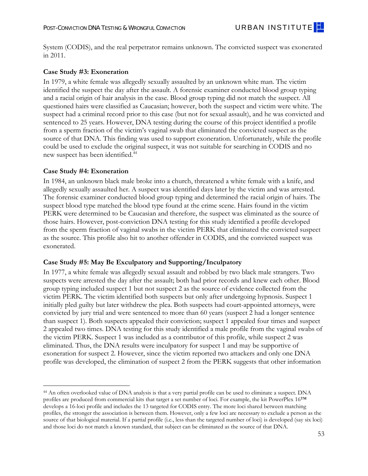Again, the number of convicted suspects has the substantively strongest relationship, followed by age of the case, location of the offense, stranger offenders and enzyme typing.

# **Case Studies**

Next, we present summaries of several cases in this data set (in no particular order) to illustrate the three types of determinate post-conviction DNA testing outcomes defined by UI researchers: inculpatory, exculpatory but insufficient for exoneration, and exculpatory and supportive of exoneration (which includes all known exonerations).<sup>43</sup> Available information on these cases was limited to data present in the DFS forensic files, which mainly included basic facts about the crime, results of the original forensic tests, and the results of more recent DNA analysis. Therefore, except in unusual situations where there was a subpoena for the expert witness or record of a court appearance, or if the case was included in our three-court pilot study, we cannot qualitatively understand how the original forensic test results influenced the original investigation or prosecution. Given these limitations, we identify the following case studies as exoneration (if the convicted suspect has been officially exonerated by the Commonwealth of Virginia), exculpatory and supportive of exoneration, or may be exculpatory but insufficient to support exoneration.

What follows is *not* an illustration of a random sample of cases taken from our sample. Rather, we have sought to highlight specific examples, including all four known exonerations in the data set, to show how the available forensic evidence fits the broader pattern of facts in the case. These examples alternatively show the power—and limitations—of post-conviction DNA testing in helping inform a review of old cases resulting in a conviction where physical evidence was retained.

#### **Case Study #1: Exoneration**

In 1984, a non-English-speaking white female was allegedly sexually assaulted in a courtyard by a black male stranger. The police identified two black male suspects in the case. The forensic examiner (who was called to testify) conducted blood group typing on the victim PERK and identified a blood type match to suspect 1's reference sample. Suspect 1 was arrested two months after the offense, and suspect 2 was never arrested. Suspect 1 had a court-appointed attorney and was convicted after a four-day jury trial. He appealed the conviction, but it was upheld. DNA testing results conducted for this study eliminated suspect 1 as the contributor of the male DNA profile in the victim PERK. A subsequent search of the Virginia DNA database identified suspect 2 as the true offender. Suspect 1 was pardoned and released from prison in 2005.

#### **Case Study #2: Exoneration**

In 1979, a white female was awakened in her home and allegedly sexually assaulted by an unknown black male suspect. A suspect was identified and charged. Again, the forensic examiner determined that the suspect's blood type matched the blood type from the questioned evidence collected at the crime scene. A forensic examiner also determined that the suspect's hair and the hair found at the scene belong to the same racial class. The suspect was convicted and sentenced to 16 years in prison. In the course of this study, a male DNA profile developed from textiles found at the crime scene and a vaginal swab from the victim PERK eliminated the convicted offender as the contributor of the profile. The DNA profile did not hit to any individual in the FBI's Combined DNA Index

<sup>-</sup>43 Outcome 1, Indeterminate, is explained in the Methodology section.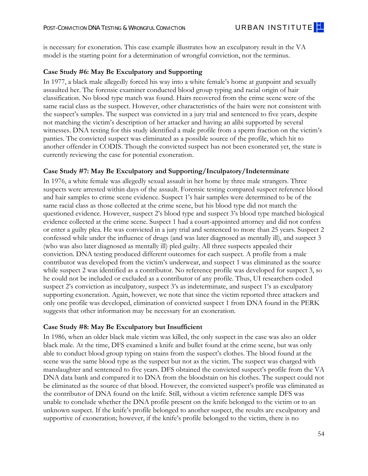System (CODIS), and the real perpetrator remains unknown. The convicted suspect was exonerated in 2011.

#### **Case Study #3: Exoneration**

In 1979, a white female was allegedly sexually assaulted by an unknown white man. The victim identified the suspect the day after the assault. A forensic examiner conducted blood group typing and a racial origin of hair analysis in the case. Blood group typing did not match the suspect. All questioned hairs were classified as Caucasian; however, both the suspect and victim were white. The suspect had a criminal record prior to this case (but not for sexual assault), and he was convicted and sentenced to 25 years. However, DNA testing during the course of this project identified a profile from a sperm fraction of the victim's vaginal swab that eliminated the convicted suspect as the source of that DNA. This finding was used to support exoneration. Unfortunately, while the profile could be used to exclude the original suspect, it was not suitable for searching in CODIS and no new suspect has been identified.<sup>44</sup>

#### **Case Study #4: Exoneration**

-

In 1984, an unknown black male broke into a church, threatened a white female with a knife, and allegedly sexually assaulted her. A suspect was identified days later by the victim and was arrested. The forensic examiner conducted blood group typing and determined the racial origin of hairs. The suspect blood type matched the blood type found at the crime scene. Hairs found in the victim PERK were determined to be Caucasian and therefore, the suspect was eliminated as the source of those hairs. However, post-conviction DNA testing for this study identified a profile developed from the sperm fraction of vaginal swabs in the victim PERK that eliminated the convicted suspect as the source. This profile also hit to another offender in CODIS, and the convicted suspect was exonerated.

#### **Case Study #5: May Be Exculpatory and Supporting/Inculpatory**

In 1977, a white female was allegedly sexual assault and robbed by two black male strangers. Two suspects were arrested the day after the assault; both had prior records and knew each other. Blood group typing included suspect 1 but not suspect 2 as the source of evidence collected from the victim PERK. The victim identified both suspects but only after undergoing hypnosis. Suspect 1 initially pled guilty but later withdrew the plea. Both suspects had court-appointed attorneys, were convicted by jury trial and were sentenced to more than 60 years (suspect 2 had a longer sentence than suspect 1). Both suspects appealed their conviction; suspect 1 appealed four times and suspect 2 appealed two times. DNA testing for this study identified a male profile from the vaginal swabs of the victim PERK. Suspect 1 was included as a contributor of this profile, while suspect 2 was eliminated. Thus, the DNA results were inculpatory for suspect 1 and may be supportive of exoneration for suspect 2. However, since the victim reported two attackers and only one DNA profile was developed, the elimination of suspect 2 from the PERK suggests that other information

 and those loci do not match a known standard, that subject can be eliminated as the source of that DNA. 44 An often overlooked value of DNA analysis is that a very partial profile can be used to eliminate a suspect. DNA profiles are produced from commercial kits that target a set number of loci. For example, the kit PowerPlex 16™ develops a 16-loci profile and includes the 13 targeted for CODIS entry. The more loci shared between matching profiles, the stronger the association is between them. However, only a few loci are necessary to exclude a person as the source of that biological material. If a partial profile (i.e., less than the targeted number of loci) is developed (say six loci)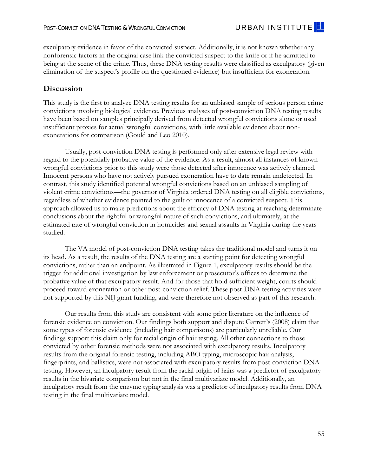is necessary for exoneration. This case example illustrates how an exculpatory result in the VA model is the starting point for a determination of wrongful conviction, not the terminus.

#### **Case Study #6: May Be Exculpatory and Supporting**

In 1977, a black male allegedly forced his way into a white female's home at gunpoint and sexually assaulted her. The forensic examiner conducted blood group typing and racial origin of hair classification. No blood type match was found. Hairs recovered from the crime scene were of the same racial class as the suspect. However, other characteristics of the hairs were not consistent with the suspect's samples. The suspect was convicted in a jury trial and sentenced to five years, despite not matching the victim's description of her attacker and having an alibi supported by several witnesses. DNA testing for this study identified a male profile from a sperm fraction on the victim's panties. The convicted suspect was eliminated as a possible source of the profile, which hit to another offender in CODIS. Though the convicted suspect has not been exonerated yet, the state is currently reviewing the case for potential exoneration.

#### **Case Study #7: May Be Exculpatory and Supporting/Inculpatory/Indeterminate**

In 1976, a white female was allegedly sexual assault in her home by three male strangers. Three suspects were arrested within days of the assault. Forensic testing compared suspect reference blood and hair samples to crime scene evidence. Suspect 1's hair samples were determined to be of the same racial class as those collected at the crime scene, but his blood type did not match the questioned evidence. However, suspect 2's blood type and suspect 3's blood type matched biological evidence collected at the crime scene. Suspect 1 had a court-appointed attorney and did not confess or enter a guilty plea. He was convicted in a jury trial and sentenced to more than 25 years. Suspect 2 confessed while under the influence of drugs (and was later diagnosed as mentally ill), and suspect 3 (who was also later diagnosed as mentally ill) pled guilty. All three suspects appealed their conviction. DNA testing produced different outcomes for each suspect. A profile from a male contributor was developed from the victim's underwear, and suspect 1 was eliminated as the source while suspect 2 was identified as a contributor. No reference profile was developed for suspect 3, so he could not be included or excluded as a contributor of any profile. Thus, UI researchers coded suspect 2's conviction as inculpatory, suspect 3's as indeterminate, and suspect 1's as exculpatory supporting exoneration. Again, however, we note that since the victim reported three attackers and only one profile was developed, elimination of convicted suspect 1 from DNA found in the PERK suggests that other information may be necessary for an exoneration.

#### **Case Study #8: May Be Exculpatory but Insufficient**

In 1986, when an older black male victim was killed, the only suspect in the case was also an older black male. At the time, DFS examined a knife and bullet found at the crime scene, but was only able to conduct blood group typing on stains from the suspect's clothes. The blood found at the scene was the same blood type as the suspect but not as the victim. The suspect was charged with manslaughter and sentenced to five years. DFS obtained the convicted suspect's profile from the VA DNA data bank and compared it to DNA from the bloodstain on his clothes. The suspect could not be eliminated as the source of that blood. However, the convicted suspect's profile was eliminated as the contributor of DNA found on the knife. Still, without a victim reference sample DFS was unable to conclude whether the DNA profile present on the knife belonged to the victim or to an unknown suspect. If the knife's profile belonged to another suspect, the results are exculpatory and supportive of exoneration; however, if the knife's profile belonged to the victim, there is no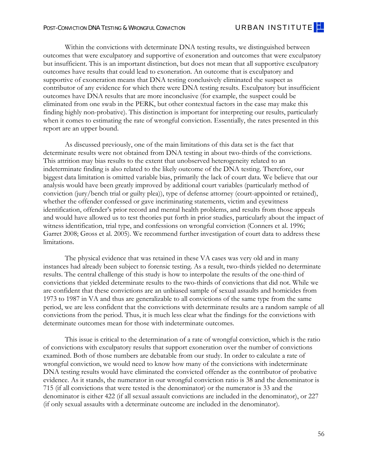exculpatory evidence in favor of the convicted suspect. Additionally, it is not known whether any nonforensic factors in the original case link the convicted suspect to the knife or if he admitted to being at the scene of the crime. Thus, these DNA testing results were classified as exculpatory (given elimination of the suspect's profile on the questioned evidence) but insufficient for exoneration.

# **Discussion**

This study is the first to analyze DNA testing results for an unbiased sample of serious person crime convictions involving biological evidence. Previous analyses of post-conviction DNA testing results have been based on samples principally derived from detected wrongful convictions alone or used insufficient proxies for actual wrongful convictions, with little available evidence about nonexonerations for comparison (Gould and Leo 2010).

Usually, post-conviction DNA testing is performed only after extensive legal review with regard to the potentially probative value of the evidence. As a result, almost all instances of known wrongful convictions prior to this study were those detected after innocence was actively claimed. Innocent persons who have not actively pursued exoneration have to date remain undetected. In contrast, this study identified potential wrongful convictions based on an unbiased sampling of violent crime convictions—the governor of Virginia ordered DNA testing on all eligible convictions, regardless of whether evidence pointed to the guilt or innocence of a convicted suspect. This approach allowed us to make predictions about the efficacy of DNA testing at reaching determinate conclusions about the rightful or wrongful nature of such convictions, and ultimately, at the estimated rate of wrongful conviction in homicides and sexual assaults in Virginia during the years studied.

The VA model of post-conviction DNA testing takes the traditional model and turns it on its head. As a result, the results of the DNA testing are a starting point for detecting wrongful convictions, rather than an endpoint. As illustrated in Figure 1, exculpatory results should be the trigger for additional investigation by law enforcement or prosecutor's offices to determine the probative value of that exculpatory result. And for those that hold sufficient weight, courts should proceed toward exoneration or other post-conviction relief. These post-DNA testing activities were not supported by this NIJ grant funding, and were therefore not observed as part of this research.

Our results from this study are consistent with some prior literature on the influence of forensic evidence on conviction. Our findings both support and dispute Garrett's (2008) claim that some types of forensic evidence (including hair comparisons) are particularly unreliable. Our findings support this claim only for racial origin of hair testing. All other connections to those convicted by other forensic methods were not associated with exculpatory results. Inculpatory results from the original forensic testing, including ABO typing, microscopic hair analysis, fingerprints, and ballistics, were not associated with exculpatory results from post-conviction DNA testing. However, an inculpatory result from the racial origin of hairs was a predictor of exculpatory results in the bivariate comparison but not in the final multivariate model. Additionally, an inculpatory result from the enzyme typing analysis was a predictor of inculpatory results from DNA testing in the final multivariate model.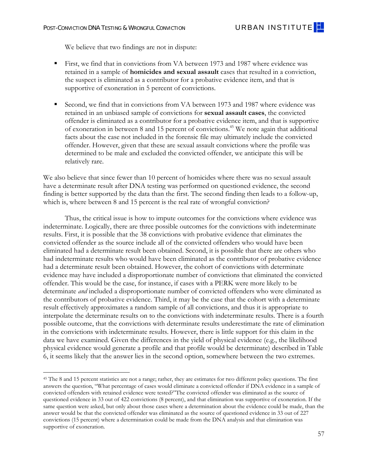Within the convictions with determinate DNA testing results, we distinguished between outcomes that were exculpatory and supportive of exoneration and outcomes that were exculpatory but insufficient. This is an important distinction, but does not mean that all supportive exculpatory outcomes have results that could lead to exoneration. An outcome that is exculpatory and supportive of exoneration means that DNA testing conclusively eliminated the suspect as contributor of any evidence for which there were DNA testing results. Exculpatory but insufficient outcomes have DNA results that are more inconclusive (for example, the suspect could be eliminated from one swab in the PERK, but other contextual factors in the case may make this finding highly non-probative). This distinction is important for interpreting our results, particularly when it comes to estimating the rate of wrongful conviction. Essentially, the rates presented in this report are an upper bound.

As discussed previously, one of the main limitations of this data set is the fact that determinate results were not obtained from DNA testing in about two-thirds of the convictions. This attrition may bias results to the extent that unobserved heterogeneity related to an indeterminate finding is also related to the likely outcome of the DNA testing. Therefore, our biggest data limitation is omitted variable bias, primarily the lack of court data. We believe that our analysis would have been greatly improved by additional court variables (particularly method of conviction (jury/bench trial or guilty plea)), type of defense attorney (court-appointed or retained), whether the offender confessed or gave incriminating statements, victim and eyewitness identification, offender's prior record and mental health problems, and results from those appeals and would have allowed us to test theories put forth in prior studies, particularly about the impact of witness identification, trial type, and confessions on wrongful conviction (Conners et al. 1996; Garret 2008; Gross et al. 2005). We recommend further investigation of court data to address these limitations.

The physical evidence that was retained in these VA cases was very old and in many instances had already been subject to forensic testing. As a result, two-thirds yielded no determinate results. The central challenge of this study is how to interpolate the results of the one-third of convictions that yielded determinate results to the two-thirds of convictions that did not. While we are confident that these convictions are an unbiased sample of sexual assaults and homicides from 1973 to 1987 in VA and thus are generalizable to all convictions of the same type from the same period, we are less confident that the convictions with determinate results are a random sample of all convictions from the period. Thus, it is much less clear what the findings for the convictions with determinate outcomes mean for those with indeterminate outcomes.

This issue is critical to the determination of a rate of wrongful conviction, which is the ratio of convictions with exculpatory results that support exoneration over the number of convictions examined. Both of those numbers are debatable from our study. In order to calculate a rate of wrongful conviction, we would need to know how many of the convictions with indeterminate DNA testing results would have eliminated the convicted offender as the contributor of probative evidence. As it stands, the numerator in our wrongful conviction ratio is 38 and the denominator is 715 (if all convictions that were tested is the denominator) or the numerator is 33 and the denominator is either 422 (if all sexual assault convictions are included in the denominator), or 227 (if only sexual assaults with a determinate outcome are included in the denominator).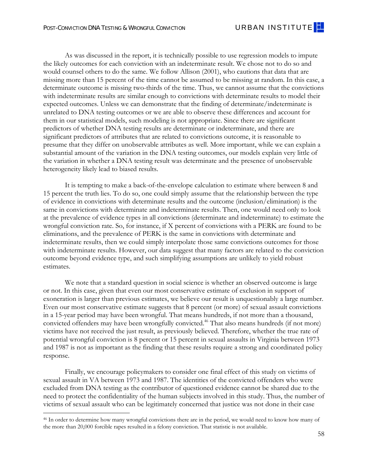-

We believe that two findings are not in dispute:

- First, we find that in convictions from VA between 1973 and 1987 where evidence was retained in a sample of **homicides and sexual assault** cases that resulted in a conviction, the suspect is eliminated as a contributor for a probative evidence item, and that is supportive of exoneration in 5 percent of convictions.
- Second, we find that in convictions from VA between 1973 and 1987 where evidence was retained in an unbiased sample of convictions for **sexual assault cases**, the convicted offender is eliminated as a contributor for a probative evidence item, and that is supportive of exoneration in between 8 and 15 percent of convictions.45 We note again that additional facts about the case not included in the forensic file may ultimately include the convicted offender. However, given that these are sexual assault convictions where the profile was determined to be male and excluded the convicted offender, we anticipate this will be relatively rare.

We also believe that since fewer than 10 percent of homicides where there was no sexual assault have a determinate result after DNA testing was performed on questioned evidence, the second finding is better supported by the data than the first. The second finding then leads to a follow-up, which is, where between 8 and 15 percent is the real rate of wrongful conviction?

Thus, the critical issue is how to impute outcomes for the convictions where evidence was indeterminate. Logically, there are three possible outcomes for the convictions with indeterminate results. First, it is possible that the 38 convictions with probative evidence that eliminates the convicted offender as the source include all of the convicted offenders who would have been eliminated had a determinate result been obtained. Second, it is possible that there are others who had indeterminate results who would have been eliminated as the contributor of probative evidence had a determinate result been obtained. However, the cohort of convictions with determinate evidence may have included a disproportionate number of convictions that eliminated the convicted offender. This would be the case, for instance, if cases with a PERK were more likely to be determinate *and* included a disproportionate number of convicted offenders who were eliminated as the contributors of probative evidence. Third, it may be the case that the cohort with a determinate result effectively approximates a random sample of all convictions, and thus it is appropriate to interpolate the determinate results on to the convictions with indeterminate results. There is a fourth possible outcome, that the convictions with determinate results underestimate the rate of elimination in the convictions with indeterminate results. However, there is little support for this claim in the data we have examined. Given the differences in the yield of physical evidence (e.g., the likelihood physical evidence would generate a profile and that profile would be determinate) described in Table 6, it seems likely that the answer lies in the second option, somewhere between the two extremes.

 same question were asked, but only about those cases where a determination about the evidence could be made, than the 45 The 8 and 15 percent statistics are not a range; rather, they are estimates for two different policy questions. The first answers the question, "What percentage of cases would eliminate a convicted offender if DNA evidence in a sample of convicted offenders with retained evidence were tested?"The convicted offender was eliminated as the source of questioned evidence in 33 out of 422 convictions (8 percent), and that elimination was supportive of exoneration. If the answer would be that the convicted offender was eliminated as the source of questioned evidence in 33 out of 227 convictions (15 percent) where a determination could be made from the DNA analysis and that elimination was supportive of exoneration.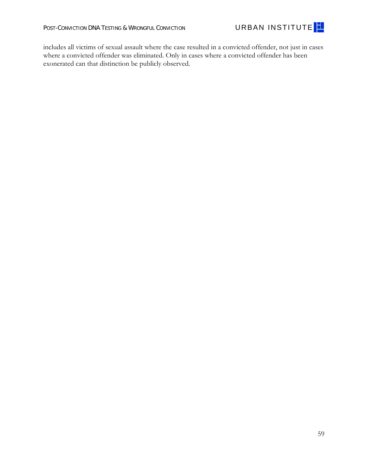As was discussed in the report, it is technically possible to use regression models to impute the likely outcomes for each conviction with an indeterminate result. We chose not to do so and would counsel others to do the same. We follow Allison (2001), who cautions that data that are missing more than 15 percent of the time cannot be assumed to be missing at random. In this case, a determinate outcome is missing two-thirds of the time. Thus, we cannot assume that the convictions with indeterminate results are similar enough to convictions with determinate results to model their expected outcomes. Unless we can demonstrate that the finding of determinate/indeterminate is unrelated to DNA testing outcomes or we are able to observe these differences and account for them in our statistical models, such modeling is not appropriate. Since there are significant predictors of whether DNA testing results are determinate or indeterminate, and there are significant predictors of attributes that are related to convictions outcome, it is reasonable to presume that they differ on unobservable attributes as well. More important, while we can explain a substantial amount of the variation in the DNA testing outcomes, our models explain very little of the variation in whether a DNA testing result was determinate and the presence of unobservable heterogeneity likely lead to biased results.

 estimates. It is tempting to make a back-of-the-envelope calculation to estimate where between 8 and 15 percent the truth lies. To do so, one could simply assume that the relationship between the type of evidence in convictions with determinate results and the outcome (inclusion/elimination) is the same in convictions with determinate and indeterminate results. Then, one would need only to look at the prevalence of evidence types in all convictions (determinate and indeterminate) to estimate the wrongful conviction rate. So, for instance, if X percent of convictions with a PERK are found to be eliminations, and the prevalence of PERK is the same in convictions with determinate and indeterminate results, then we could simply interpolate those same convictions outcomes for those with indeterminate results. However, our data suggest that many factors are related to the conviction outcome beyond evidence type, and such simplifying assumptions are unlikely to yield robust

We note that a standard question in social science is whether an observed outcome is large or not. In this case, given that even our most conservative estimate of exclusion in support of exoneration is larger than previous estimates, we believe our result is unquestionably a large number. Even our most conservative estimate suggests that 8 percent (or more) of sexual assault convictions in a 15-year period may have been wrongful. That means hundreds, if not more than a thousand, convicted offenders may have been wrongfully convicted.<sup>46</sup> That also means hundreds (if not more) victims have not received the just result, as previously believed. Therefore, whether the true rate of potential wrongful conviction is 8 percent or 15 percent in sexual assaults in Virginia between 1973 and 1987 is not as important as the finding that these results require a strong and coordinated policy response.

Finally, we encourage policymakers to consider one final effect of this study on victims of sexual assault in VA between 1973 and 1987. The identities of the convicted offenders who were excluded from DNA testing as the contributor of questioned evidence cannot be shared due to the need to protect the confidentiality of the human subjects involved in this study. Thus, the number of victims of sexual assault who can be legitimately concerned that justice was not done in their case

 $\overline{a}$ 

<sup>46</sup> In order to determine how many wrongful convictions there are in the period, we would need to know how many of the more than 20,000 forcible rapes resulted in a felony conviction. That statistic is not available.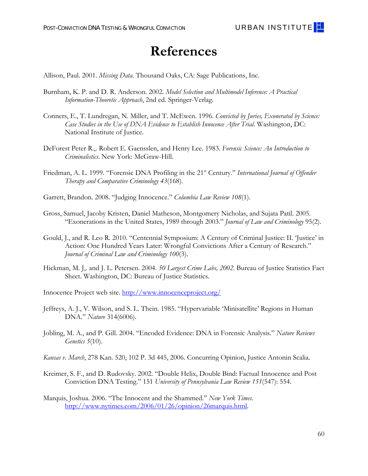

includes all victims of sexual assault where the case resulted in a convicted offender, not just in cases where a convicted offender was eliminated. Only in cases where a convicted offender has been exonerated can that distinction be publicly observed.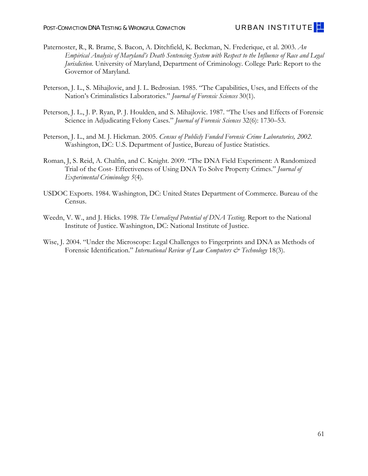# **References**

Allison, Paul. 2001. *Missing Data*. Thousand Oaks, CA: Sage Publications, Inc.

- Burnham, K. P. and D. R. Anderson. 2002. *Model Selection and Multimodel Inference: A Practical Information-Theoretic Approach*, 2nd ed. Springer-Verlag.
- Conners, E., T. Lundregan, N. Miller, and T. McEwen. 1996. *Convicted by Juries, Exonerated by Science: Case Studies in the Use of DNA Evidence to Establish Innocence After Trial*. Washington, DC: National Institute of Justice.
- DeForest Peter R.,. Robert E. Gaensslen, and Henry Lee. 1983. *Forensic Science: An Introduction to Criminalistics*. New York: McGraw-Hill.
- Friedman, A. L. 1999. "Forensic DNA Profiling in the 21st Century." *International Journal of Offender Therapy and Comparative Criminology 43*(168).
- Garrett, Brandon. 2008. "Judging Innocence." *Columbia Law Review 108*(1).
- Gross, Samuel, Jacoby Kristen, Daniel Matheson, Montgomery Nicholas, and Sujata Patil. 2005. "Exonerations in the United States, 1989 through 2003." *Journal of Law and Criminology* 95(2).
- Gould, J., and R. Leo R. 2010. "Centennial Symposium: A Century of Criminal Justice: II. 'Justice' in Action: One Hundred Years Later: Wrongful Convictions After a Century of Research." *Journal of Criminal Law and Criminology 100*(3).
- Hickman, M. J,. and J. L. Petersen. 2004. *50 Largest Crime Labs, 2002*. Bureau of Justice Statistics Fact Sheet. Washington, DC: Bureau of Justice Statistics.

Innocence Project web site. http://www.innocenceproject.org/

- Jeffreys, A. J., V. Wilson, and S. L. Thein. 1985. "Hypervariable 'Minisatellite' Regions in Human DNA." *Nature* 314(6006).
- Jobling, M. A., and P. Gill. 2004. "Encoded Evidence: DNA in Forensic Analysis." *Nature Reviews Genetics 5*(10).
- *Kansas v. March*, 278 Kan. 520, 102 P. 3d 445, 2006. Concurring Opinion, Justice Antonin Scalia.
- Kreimer, S. F., and D. Rudovsky. 2002. "Double Helix, Double Bind: Factual Innocence and Post Conviction DNA Testing." 151 *University of Pennsylvania Law Review 151*(547): 554.
- Marquis, Joshua. 2006. "The Innocent and the Shammed." *New York Times*. http://www.nytimes.com/2006/01/26/opinion/26marquis.html.